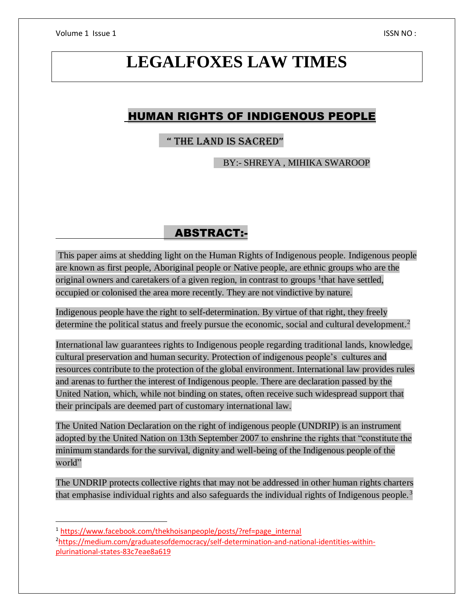Volume 1 Issue 1 **ISSN NO**:

# **LEGALFOXES LAW TIMES**

# HUMAN RIGHTS OF INDIGENOUS PEOPLE

# " THE LAND IS SACRED"

BY:- SHREYA , MIHIKA SWAROOP

# ABSTRACT:-

This paper aims at shedding light on the Human Rights of Indigenous people. Indigenous people are known as first people, Aboriginal people or Native people, are ethnic groups who are the original owners and caretakers of a given region, in contrast to groups <sup>1</sup> that have settled, occupied or colonised the area more recently. They are not vindictive by nature.

Indigenous people have the right to self-determination. By virtue of that right, they freely determine the political status and freely pursue the economic, social and cultural development.<sup>2</sup>

International law guarantees rights to Indigenous people regarding traditional lands, knowledge, cultural preservation and human security. Protection of indigenous people's cultures and resources contribute to the protection of the global environment. International law provides rules and arenas to further the interest of Indigenous people. There are declaration passed by the United Nation, which, while not binding on states, often receive such widespread support that their principals are deemed part of customary international law.

The United Nation Declaration on the right of indigenous people (UNDRIP) is an instrument adopted by the United Nation on 13th September 2007 to enshrine the rights that "constitute the minimum standards for the survival, dignity and well-being of the Indigenous people of the world"

The UNDRIP protects collective rights that may not be addressed in other human rights charters that emphasise individual rights and also safeguards the individual rights of Indigenous people.<sup>3</sup>

 $\overline{\phantom{a}}$ 

<sup>1</sup> [https://www.facebook.com/thekhoisanpeople/posts/?ref=page\\_internal](https://www.facebook.com/thekhoisanpeople/posts/?ref=page_internal)

<sup>2</sup>[https://medium.com/graduatesofdemocracy/self-determination-and-national-identities-within](https://medium.com/graduatesofdemocracy/self-determination-and-national-identities-within-plurinational-states-83c7eae8a619)[plurinational-states-83c7eae8a619](https://medium.com/graduatesofdemocracy/self-determination-and-national-identities-within-plurinational-states-83c7eae8a619)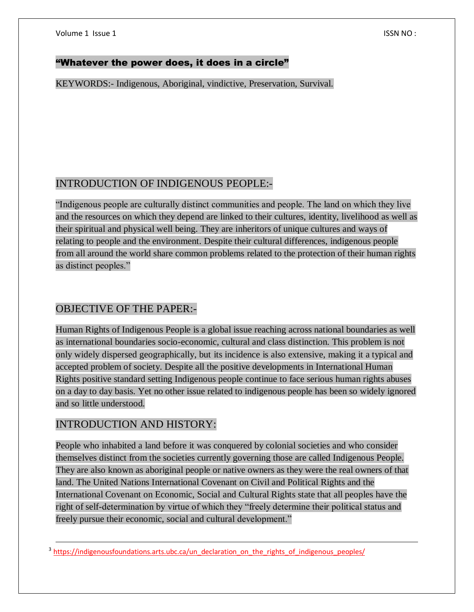# "Whatever the power does, it does in a circle"

KEYWORDS:- Indigenous, Aboriginal, vindictive, Preservation, Survival.

# INTRODUCTION OF INDIGENOUS PEOPLE:-

"Indigenous people are culturally distinct communities and people. The land on which they live and the resources on which they depend are linked to their cultures, identity, livelihood as well as their spiritual and physical well being. They are inheritors of unique cultures and ways of relating to people and the environment. Despite their cultural differences, indigenous people from all around the world share common problems related to the protection of their human rights as distinct peoples."

# OBJECTIVE OF THE PAPER:-

Human Rights of Indigenous People is a global issue reaching across national boundaries as well as international boundaries socio-economic, cultural and class distinction. This problem is not only widely dispersed geographically, but its incidence is also extensive, making it a typical and accepted problem of society. Despite all the positive developments in International Human Rights positive standard setting Indigenous people continue to face serious human rights abuses on a day to day basis. Yet no other issue related to indigenous people has been so widely ignored and so little understood.

# INTRODUCTION AND HISTORY:

 $\overline{a}$ 

People who inhabited a land before it was conquered by colonial societies and who consider themselves distinct from the societies currently governing those are called Indigenous People. They are also known as aboriginal people or native owners as they were the real owners of that land. The United Nations International Covenant on Civil and Political Rights and the International Covenant on Economic, Social and Cultural Rights state that all peoples have the right of self-determination by virtue of which they "freely determine their political status and freely pursue their economic, social and cultural development."

<sup>3</sup> [https://indigenousfoundations.arts.ubc.ca/un\\_declaration\\_on\\_the\\_rights\\_of\\_indigenous\\_peoples/](https://indigenousfoundations.arts.ubc.ca/un_declaration_on_the_rights_of_indigenous_peoples/)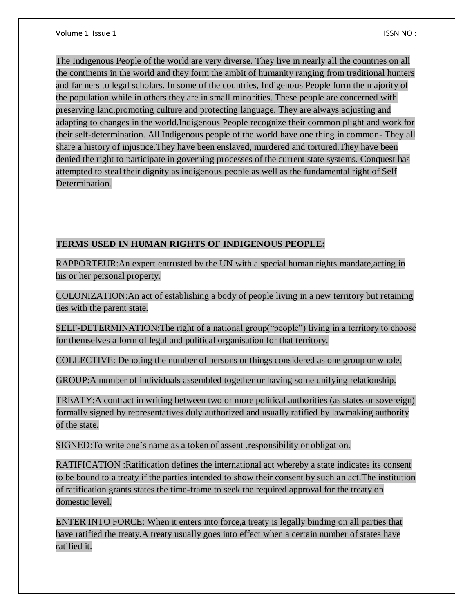The Indigenous People of the world are very diverse. They live in nearly all the countries on all the continents in the world and they form the ambit of humanity ranging from traditional hunters and farmers to legal scholars. In some of the countries, Indigenous People form the majority of the population while in others they are in small minorities. These people are concerned with preserving land,promoting culture and protecting language. They are always adjusting and adapting to changes in the world.Indigenous People recognize their common plight and work for their self-determination. All Indigenous people of the world have one thing in common- They all share a history of injustice.They have been enslaved, murdered and tortured.They have been denied the right to participate in governing processes of the current state systems. Conquest has attempted to steal their dignity as indigenous people as well as the fundamental right of Self Determination.

# **TERMS USED IN HUMAN RIGHTS OF INDIGENOUS PEOPLE:**

RAPPORTEUR:An expert entrusted by the UN with a special human rights mandate,acting in his or her personal property.

COLONIZATION:An act of establishing a body of people living in a new territory but retaining ties with the parent state.

SELF-DETERMINATION:The right of a national group("people") living in a territory to choose for themselves a form of legal and political organisation for that territory.

COLLECTIVE: Denoting the number of persons or things considered as one group or whole.

GROUP:A number of individuals assembled together or having some unifying relationship.

TREATY:A contract in writing between two or more political authorities (as states or sovereign) formally signed by representatives duly authorized and usually ratified by lawmaking authority of the state.

SIGNED:To write one's name as a token of assent ,responsibility or obligation.

RATIFICATION :Ratification defines the international act whereby a state indicates its consent to be bound to a treaty if the parties intended to show their consent by such an act.The institution of ratification grants states the time-frame to seek the required approval for the treaty on domestic level.

ENTER INTO FORCE: When it enters into force,a treaty is legally binding on all parties that have ratified the treaty.A treaty usually goes into effect when a certain number of states have ratified it.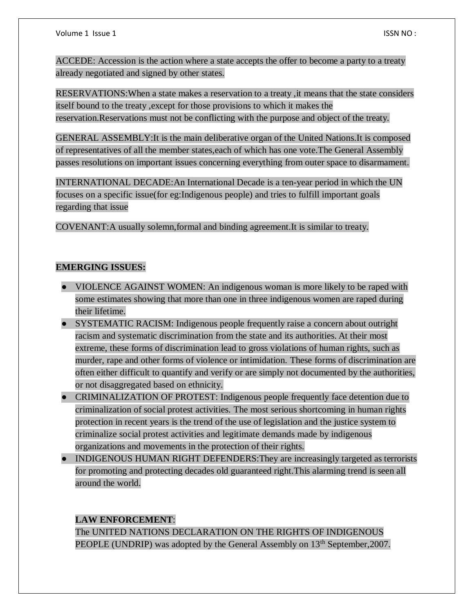ACCEDE: Accession is the action where a state accepts the offer to become a party to a treaty already negotiated and signed by other states.

RESERVATIONS:When a state makes a reservation to a treaty ,it means that the state considers itself bound to the treaty ,except for those provisions to which it makes the reservation.Reservations must not be conflicting with the purpose and object of the treaty.

GENERAL ASSEMBLY:It is the main deliberative organ of the United Nations.It is composed of representatives of all the member states,each of which has one vote.The General Assembly passes resolutions on important issues concerning everything from outer space to disarmament.

INTERNATIONAL DECADE:An International Decade is a ten-year period in which the UN focuses on a specific issue(for eg:Indigenous people) and tries to fulfill important goals regarding that issue

COVENANT:A usually solemn,formal and binding agreement.It is similar to treaty.

# **EMERGING ISSUES:**

- VIOLENCE AGAINST WOMEN: An indigenous woman is more likely to be raped with some estimates showing that more than one in three indigenous women are raped during their lifetime.
- SYSTEMATIC RACISM: Indigenous people frequently raise a concern about outright racism and systematic discrimination from the state and its authorities. At their most extreme, these forms of discrimination lead to gross violations of human rights, such as murder, rape and other forms of violence or intimidation. These forms of discrimination are often either difficult to quantify and verify or are simply not documented by the authorities, or not disaggregated based on ethnicity.
- CRIMINALIZATION OF PROTEST: Indigenous people frequently face detention due to criminalization of social protest activities. The most serious shortcoming in human rights protection in recent years is the trend of the use of legislation and the justice system to criminalize social protest activities and legitimate demands made by indigenous organizations and movements in the protection of their rights.
- INDIGENOUS HUMAN RIGHT DEFENDERS:They are increasingly targeted as terrorists for promoting and protecting decades old guaranteed right.This alarming trend is seen all around the world.

# **LAW ENFORCEMENT**:

The UNITED NATIONS DECLARATION ON THE RIGHTS OF INDIGENOUS PEOPLE (UNDRIP) was adopted by the General Assembly on 13<sup>th</sup> September, 2007.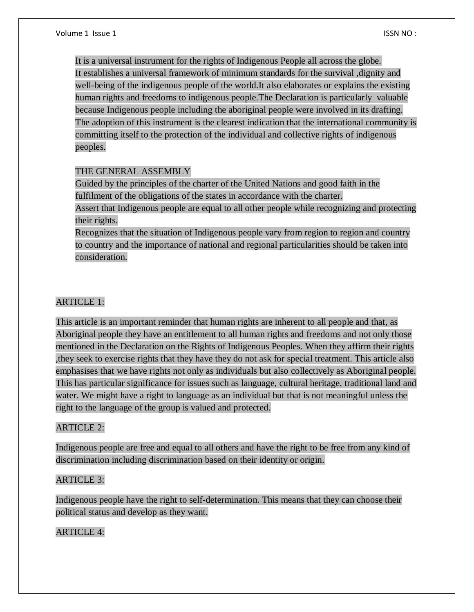It is a universal instrument for the rights of Indigenous People all across the globe. It establishes a universal framework of minimum standards for the survival ,dignity and well-being of the indigenous people of the world.It also elaborates or explains the existing human rights and freedoms to indigenous people.The Declaration is particularly valuable because Indigenous people including the aboriginal people were involved in its drafting. The adoption of this instrument is the clearest indication that the international community is committing itself to the protection of the individual and collective rights of indigenous peoples.

# THE GENERAL ASSEMBLY

Guided by the principles of the charter of the United Nations and good faith in the fulfilment of the obligations of the states in accordance with the charter.

Assert that Indigenous people are equal to all other people while recognizing and protecting their rights.

Recognizes that the situation of Indigenous people vary from region to region and country to country and the importance of national and regional particularities should be taken into consideration.

# ARTICLE 1:

This article is an important reminder that human rights are inherent to all people and that, as Aboriginal people they have an entitlement to all human rights and freedoms and not only those mentioned in the Declaration on the Rights of Indigenous Peoples. When they affirm their rights ,they seek to exercise rights that they have they do not ask for special treatment. This article also emphasises that we have rights not only as individuals but also collectively as Aboriginal people. This has particular significance for issues such as language, cultural heritage, traditional land and water. We might have a right to language as an individual but that is not meaningful unless the right to the language of the group is valued and protected.

### ARTICLE 2:

Indigenous people are free and equal to all others and have the right to be free from any kind of discrimination including discrimination based on their identity or origin.

### ARTICLE 3:

Indigenous people have the right to self-determination. This means that they can choose their political status and develop as they want.

# ARTICLE 4: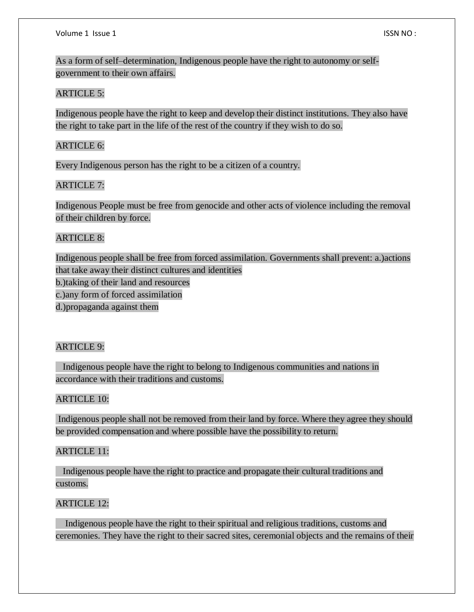As a form of self–determination, Indigenous people have the right to autonomy or selfgovernment to their own affairs.

# ARTICLE 5:

Indigenous people have the right to keep and develop their distinct institutions. They also have the right to take part in the life of the rest of the country if they wish to do so.

# ARTICLE 6:

Every Indigenous person has the right to be a citizen of a country.

### ARTICLE 7:

Indigenous People must be free from genocide and other acts of violence including the removal of their children by force.

# ARTICLE 8:

Indigenous people shall be free from forced assimilation. Governments shall prevent: a.)actions that take away their distinct cultures and identities b.)taking of their land and resources c.)any form of forced assimilation d.)propaganda against them

# ARTICLE 9:

 Indigenous people have the right to belong to Indigenous communities and nations in accordance with their traditions and customs.

# ARTICLE 10:

Indigenous people shall not be removed from their land by force. Where they agree they should be provided compensation and where possible have the possibility to return.

### ARTICLE 11:

 Indigenous people have the right to practice and propagate their cultural traditions and customs.

## ARTICLE 12:

 Indigenous people have the right to their spiritual and religious traditions, customs and ceremonies. They have the right to their sacred sites, ceremonial objects and the remains of their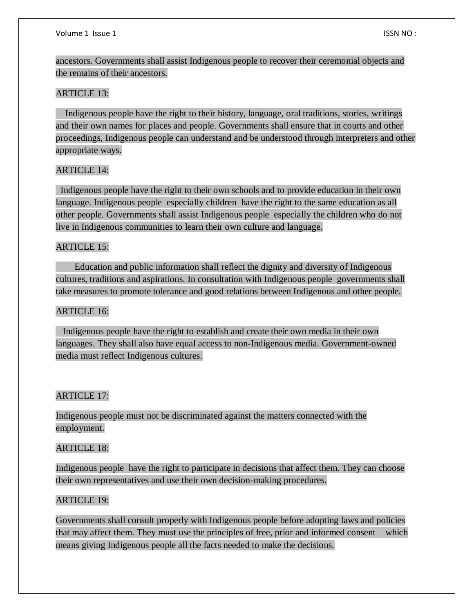ancestors. Governments shall assist Indigenous people to recover their ceremonial objects and the remains of their ancestors.

#### ARTICLE 13:

 Indigenous people have the right to their history, language, oral traditions, stories, writings and their own names for places and people. Governments shall ensure that in courts and other proceedings, Indigenous people can understand and be understood through interpreters and other appropriate ways.

# ARTICLE 14:

 Indigenous people have the right to their own schools and to provide education in their own language. Indigenous people especially children have the right to the same education as all other people. Governments shall assist Indigenous people especially the children who do not live in Indigenous communities to learn their own culture and language.

#### ARTICLE 15:

 Education and public information shall reflect the dignity and diversity of Indigenous cultures, traditions and aspirations. In consultation with Indigenous people governments shall take measures to promote tolerance and good relations between Indigenous and other people.

#### ARTICLE 16:

 Indigenous people have the right to establish and create their own media in their own languages. They shall also have equal access to non-Indigenous media. Government-owned media must reflect Indigenous cultures.

#### ARTICLE 17:

Indigenous people must not be discriminated against the matters connected with the employment.

#### ARTICLE 18:

Indigenous people have the right to participate in decisions that affect them. They can choose their own representatives and use their own decision-making procedures.

#### ARTICLE 19:

Governments shall consult properly with Indigenous people before adopting laws and policies that may affect them. They must use the principles of free, prior and informed consent – which means giving Indigenous people all the facts needed to make the decisions.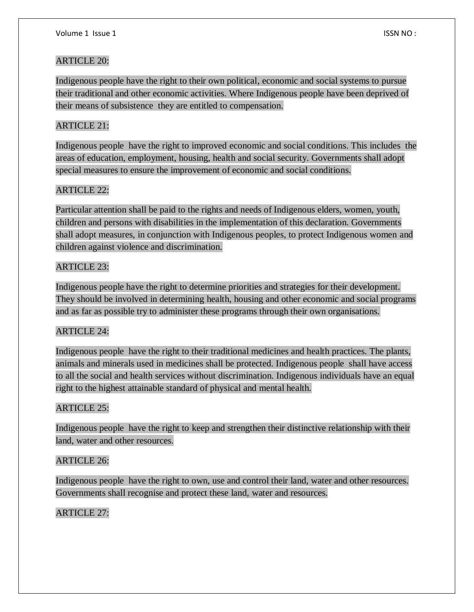# ARTICLE 20:

Indigenous people have the right to their own political, economic and social systems to pursue their traditional and other economic activities. Where Indigenous people have been deprived of their means of subsistence they are entitled to compensation.

# ARTICLE 21:

Indigenous people have the right to improved economic and social conditions. This includes the areas of education, employment, housing, health and social security. Governments shall adopt special measures to ensure the improvement of economic and social conditions.

# ARTICLE 22:

Particular attention shall be paid to the rights and needs of Indigenous elders, women, youth, children and persons with disabilities in the implementation of this declaration. Governments shall adopt measures, in conjunction with Indigenous peoples, to protect Indigenous women and children against violence and discrimination.

# ARTICLE 23:

Indigenous people have the right to determine priorities and strategies for their development. They should be involved in determining health, housing and other economic and social programs and as far as possible try to administer these programs through their own organisations.

### ARTICLE 24:

Indigenous people have the right to their traditional medicines and health practices. The plants, animals and minerals used in medicines shall be protected. Indigenous people shall have access to all the social and health services without discrimination. Indigenous individuals have an equal right to the highest attainable standard of physical and mental health.

### ARTICLE 25:

Indigenous people have the right to keep and strengthen their distinctive relationship with their land, water and other resources.

# ARTICLE 26:

Indigenous people have the right to own, use and control their land, water and other resources. Governments shall recognise and protect these land, water and resources.

# ARTICLE 27: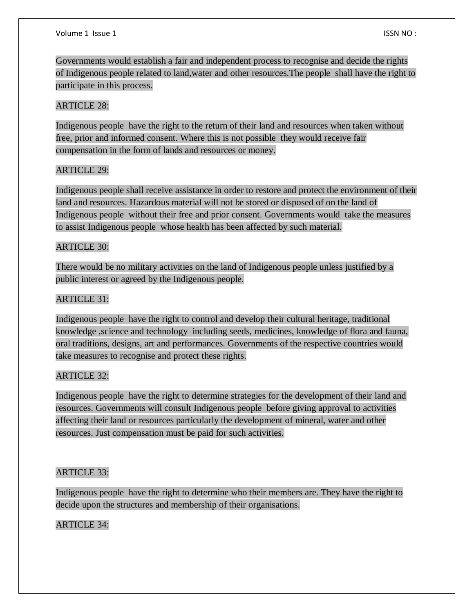Governments would establish a fair and independent process to recognise and decide the rights of Indigenous people related to land,water and other resources.The people shall have the right to participate in this process.

# ARTICLE 28:

Indigenous people have the right to the return of their land and resources when taken without free, prior and informed consent. Where this is not possible they would receive fair compensation in the form of lands and resources or money.

### ARTICLE 29:

Indigenous people shall receive assistance in order to restore and protect the environment of their land and resources. Hazardous material will not be stored or disposed of on the land of Indigenous people without their free and prior consent. Governments would take the measures to assist Indigenous people whose health has been affected by such material.

### ARTICLE 30:

There would be no military activities on the land of Indigenous people unless justified by a public interest or agreed by the Indigenous people.

# ARTICLE 31:

Indigenous people have the right to control and develop their cultural heritage, traditional knowledge ,science and technology including seeds, medicines, knowledge of flora and fauna, oral traditions, designs, art and performances. Governments of the respective countries would take measures to recognise and protect these rights.

### ARTICLE 32:

Indigenous people have the right to determine strategies for the development of their land and resources. Governments will consult Indigenous people before giving approval to activities affecting their land or resources particularly the development of mineral, water and other resources. Just compensation must be paid for such activities.

# ARTICLE 33:

Indigenous people have the right to determine who their members are. They have the right to decide upon the structures and membership of their organisations.

# ARTICLE 34: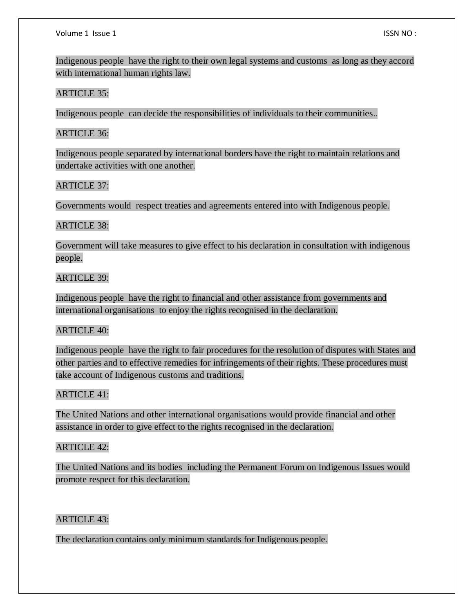Indigenous people have the right to their own legal systems and customs as long as they accord with international human rights law.

#### ARTICLE 35:

Indigenous people can decide the responsibilities of individuals to their communities..

#### ARTICLE 36:

Indigenous people separated by international borders have the right to maintain relations and undertake activities with one another.

#### ARTICLE 37:

Governments would respect treaties and agreements entered into with Indigenous people.

#### ARTICLE 38:

Government will take measures to give effect to his declaration in consultation with indigenous people.

#### ARTICLE 39:

Indigenous people have the right to financial and other assistance from governments and international organisations to enjoy the rights recognised in the declaration.

### ARTICLE 40:

Indigenous people have the right to fair procedures for the resolution of disputes with States and other parties and to effective remedies for infringements of their rights. These procedures must take account of Indigenous customs and traditions.

### ARTICLE 41:

The United Nations and other international organisations would provide financial and other assistance in order to give effect to the rights recognised in the declaration.

### ARTICLE 42:

The United Nations and its bodies including the Permanent Forum on Indigenous Issues would promote respect for this declaration.

### ARTICLE 43:

The declaration contains only minimum standards for Indigenous people.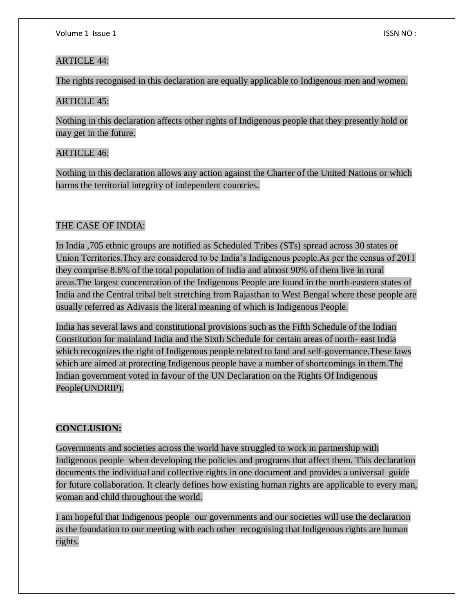# ARTICLE 44:

The rights recognised in this declaration are equally applicable to Indigenous men and women.

# ARTICLE 45:

Nothing in this declaration affects other rights of Indigenous people that they presently hold or may get in the future.

# ARTICLE 46:

Nothing in this declaration allows any action against the Charter of the United Nations or which harms the territorial integrity of independent countries.

# THE CASE OF INDIA:

In India ,705 ethnic groups are notified as Scheduled Tribes (STs) spread across 30 states or Union Territories.They are considered to be India's Indigenous people.As per the census of 2011 they comprise 8.6% of the total population of India and almost 90% of them live in rural areas.The largest concentration of the Indigenous People are found in the north-eastern states of India and the Central tribal belt stretching from Rajasthan to West Bengal where these people are usually referred as Adivasis the literal meaning of which is Indigenous People.

India has several laws and constitutional provisions such as the Fifth Schedule of the Indian Constitution for mainland India and the Sixth Schedule for certain areas of north- east India which recognizes the right of Indigenous people related to land and self-governance.These laws which are aimed at protecting Indigenous people have a number of shortcomings in them.The Indian government voted in favour of the UN Declaration on the Rights Of Indigenous People(UNDRIP).

# **CONCLUSION:**

Governments and societies across the world have struggled to work in partnership with Indigenous people when developing the policies and programs that affect them. This declaration documents the individual and collective rights in one document and provides a universal guide for future collaboration. It clearly defines how existing human rights are applicable to every man, woman and child throughout the world.

I am hopeful that Indigenous people our governments and our societies will use the declaration as the foundation to our meeting with each other recognising that Indigenous rights are human rights.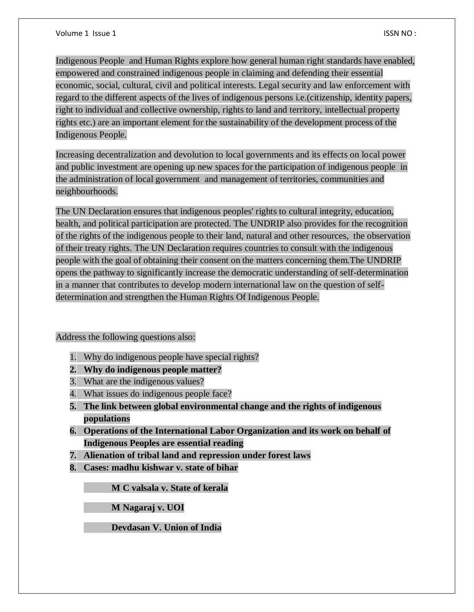Indigenous People and Human Rights explore how general human right standards have enabled, empowered and constrained indigenous people in claiming and defending their essential economic, social, cultural, civil and political interests. Legal security and law enforcement with regard to the different aspects of the lives of indigenous persons i.e.(citizenship, identity papers, right to individual and collective ownership, rights to land and territory, intellectual property rights etc.) are an important element for the sustainability of the development process of the Indigenous People.

Increasing decentralization and devolution to local governments and its effects on local power and public investment are opening up new spaces for the participation of indigenous people in the administration of local government and management of territories, communities and neighbourhoods.

The UN Declaration ensures that indigenous peoples' rights to cultural integrity, education, health, and political participation are protected. The UNDRIP also provides for the recognition of the rights of the indigenous people to their land, natural and other resources, the observation of their treaty rights. The UN Declaration requires countries to consult with the indigenous people with the goal of obtaining their consent on the matters concerning them.The UNDRIP opens the pathway to significantly increase the democratic understanding of self-determination in a manner that contributes to develop modern international law on the question of selfdetermination and strengthen the Human Rights Of Indigenous People.

Address the following questions also:

- 1. Why do indigenous people have special rights?
- **2. Why do indigenous people matter?**
- 3. What are the indigenous values?
- 4. What issues do indigenous people face?
- **5. The link between global environmental change and the rights of indigenous populations**
- **6. Operations of the International Labor Organization and its work on behalf of Indigenous Peoples are essential reading**
- **7. Alienation of tribal land and repression under forest laws**
- **8. Cases: madhu kishwar v. state of bihar**

**M C valsala v. State of kerala**

**M Nagaraj v. UOI**

**Devdasan V. Union of India**